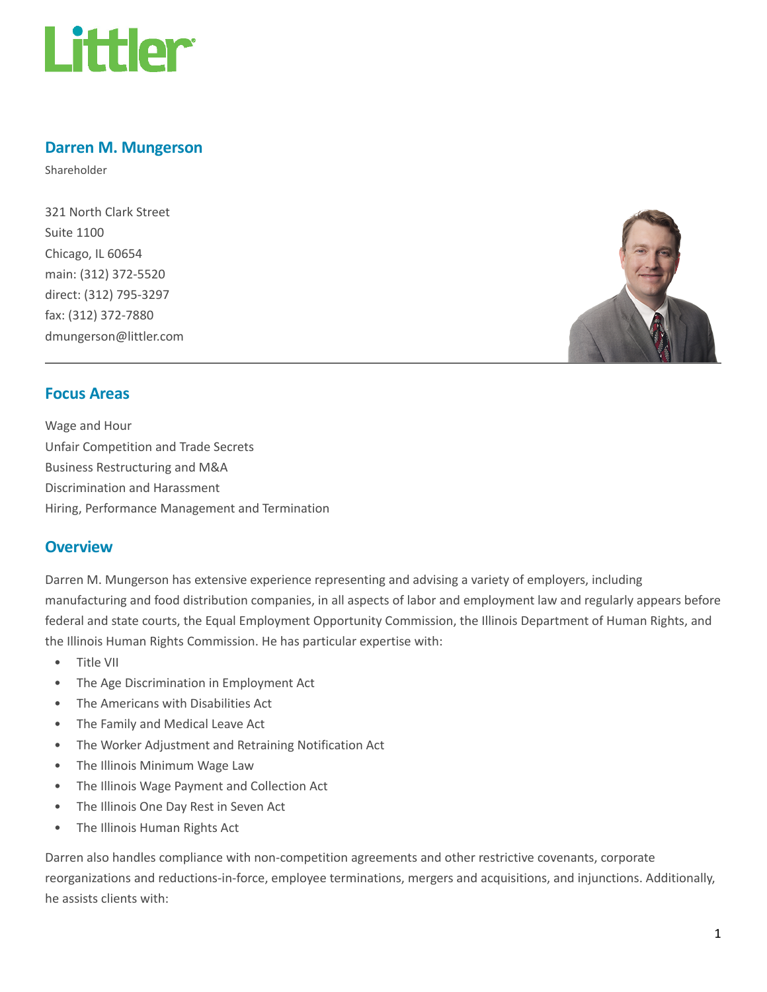

## Darren M. Mungerson

Shareholder

321 North Clark Street Suite 1100 Chicago, IL 60654 main: (312) 372-5520 direct: (312) 795-3297 fax: (312) 372-7880 dmungerson@littler.com



#### Focus Areas

Wage and Hour Unfair Competition and Trade Secrets Business Restructuring and M&A Discrimination and Harassment Hiring, Performance Management and Termination

#### **Overview**

Darren M. Mungerson has extensive experience representing and advising a variety of employers, including manufacturing and food distribution companies, in all aspects of labor and employment law and regularly appears before federal and state courts, the Equal Employment Opportunity Commission, the Illinois Department of Human Rights, and the Illinois Human Rights Commission. He has particular expertise with:

- Title VII
- The Age Discrimination in Employment Act
- The Americans with Disabilities Act
- The Family and Medical Leave Act
- The Worker Adjustment and Retraining Notification Act
- The Illinois Minimum Wage Law
- The Illinois Wage Payment and Collection Act
- The Illinois One Day Rest in Seven Act
- The Illinois Human Rights Act

Darren also handles compliance with non-competition agreements and other restrictive covenants, corporate reorganizations and reductions-in-force, employee terminations, mergers and acquisitions, and injunctions. Additionally, he assists clients with: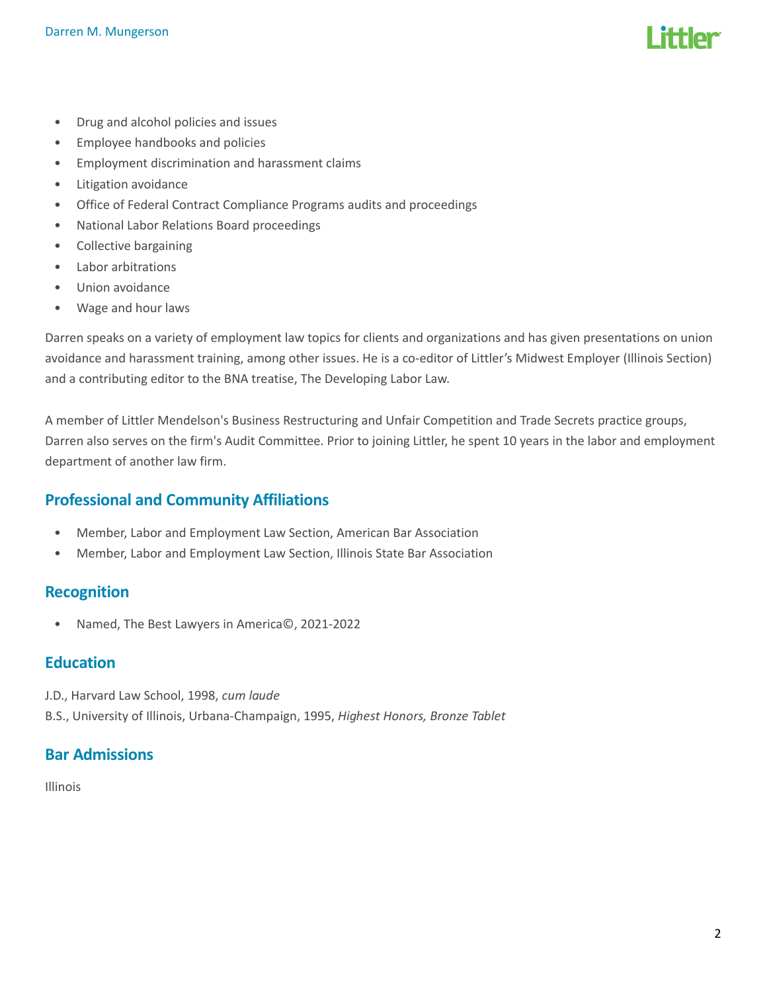- Drug and alcohol policies and issues
- Employee handbooks and policies
- Employment discrimination and harassment claims
- Litigation avoidance
- Office of Federal Contract Compliance Programs audits and proceedings
- National Labor Relations Board proceedings
- Collective bargaining
- Labor arbitrations
- Union avoidance
- Wage and hour laws

Darren speaks on a variety of employment law topics for clients and organizations and has given presentations on union avoidance and harassment training, among other issues. He is a co-editor of Littler's Midwest Employer (Illinois Section) and a contributing editor to the BNA treatise, The Developing Labor Law.

A member of Littler Mendelson's Business Restructuring and Unfair Competition and Trade Secrets practice groups, Darren also serves on the firm's Audit Committee. Prior to joining Littler, he spent 10 years in the labor and employment department of another law firm.

## Professional and Community Affiliations

- Member, Labor and Employment Law Section, American Bar Association
- Member, Labor and Employment Law Section, Illinois State Bar Association

#### **Recognition**

• Named, The Best Lawyers in America©, 2021-2022

#### **Education**

- J.D., Harvard Law School, 1998, cum laude
- B.S., University of Illinois, Urbana-Champaign, 1995, Highest Honors, Bronze Tablet

## Bar Admissions

Illinois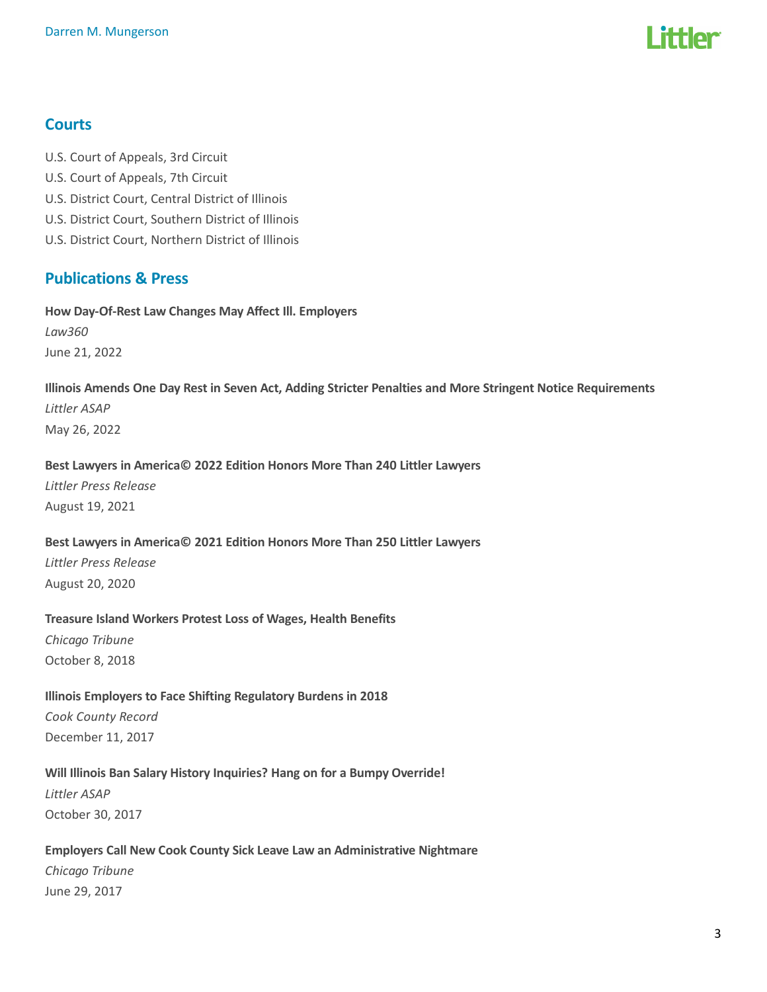

#### **Courts**

- U.S. Court of Appeals, 3rd Circuit
- U.S. Court of Appeals, 7th Circuit
- U.S. District Court, Central District of Illinois
- U.S. District Court, Southern District of Illinois
- U.S. District Court, Northern District of Illinois

## Publications & Press

How Day-Of-Rest Law Changes May Affect Ill. Employers

Law360 June 21, 2022

# Illinois Amends One Day Rest in Seven Act, Adding Stricter Penalties and More Stringent Notice Requirements Littler ASAP

May 26, 2022

#### Best Lawyers in America© 2022 Edition Honors More Than 240 Littler Lawyers

Littler Press Release August 19, 2021

#### Best Lawyers in America© 2021 Edition Honors More Than 250 Littler Lawyers

Littler Press Release August 20, 2020

#### Treasure Island Workers Protest Loss of Wages, Health Benefits

Chicago Tribune October 8, 2018

Illinois Employers to Face Shifting Regulatory Burdens in 2018 Cook County Record December 11, 2017

#### Will Illinois Ban Salary History Inquiries? Hang on for a Bumpy Override!

Littler ASAP October 30, 2017

#### Employers Call New Cook County Sick Leave Law an Administrative Nightmare

Chicago Tribune June 29, 2017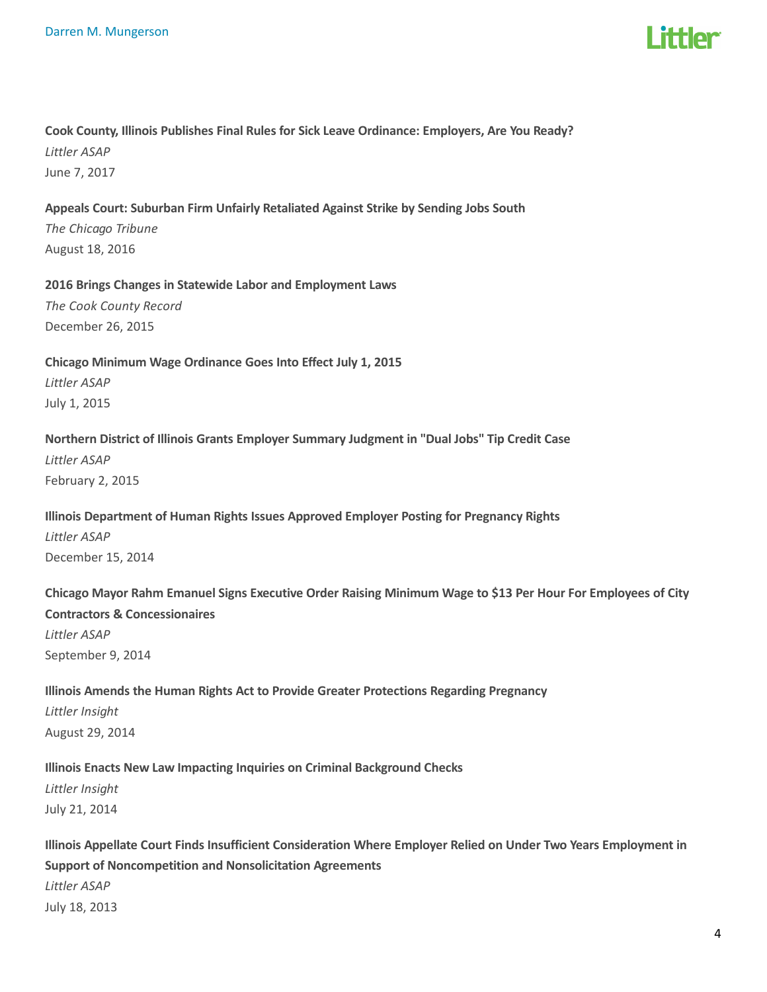

# Cook County, Illinois Publishes Final Rules for Sick Leave Ordinance: Employers, Are You Ready? Littler ASAP

June 7, 2017

#### Appeals Court: Suburban Firm Unfairly Retaliated Against Strike by Sending Jobs South

The Chicago Tribune August 18, 2016

## 2016 Brings Changes in Statewide Labor and Employment Laws The Cook County Record

December 26, 2015

### Chicago Minimum Wage Ordinance Goes Into Effect July 1, 2015 Littler ASAP July 1, 2015

#### Northern District of Illinois Grants Employer Summary Judgment in "Dual Jobs" Tip Credit Case

Littler ASAP February 2, 2015

## Illinois Department of Human Rights Issues Approved Employer Posting for Pregnancy Rights Littler ASAP December 15, 2014

## Chicago Mayor Rahm Emanuel Signs Executive Order Raising Minimum Wage to \$13 Per Hour For Employees of City Contractors & Concessionaires Littler ASAP September 9, 2014

## Illinois Amends the Human Rights Act to Provide Greater Protections Regarding Pregnancy Littler Insight August 29, 2014

#### Illinois Enacts New Law Impacting Inquiries on Criminal Background Checks

Littler Insight July 21, 2014

## Illinois Appellate Court Finds Insufficient Consideration Where Employer Relied on Under Two Years Employment in Support of Noncompetition and Nonsolicitation Agreements Littler ASAP July 18, 2013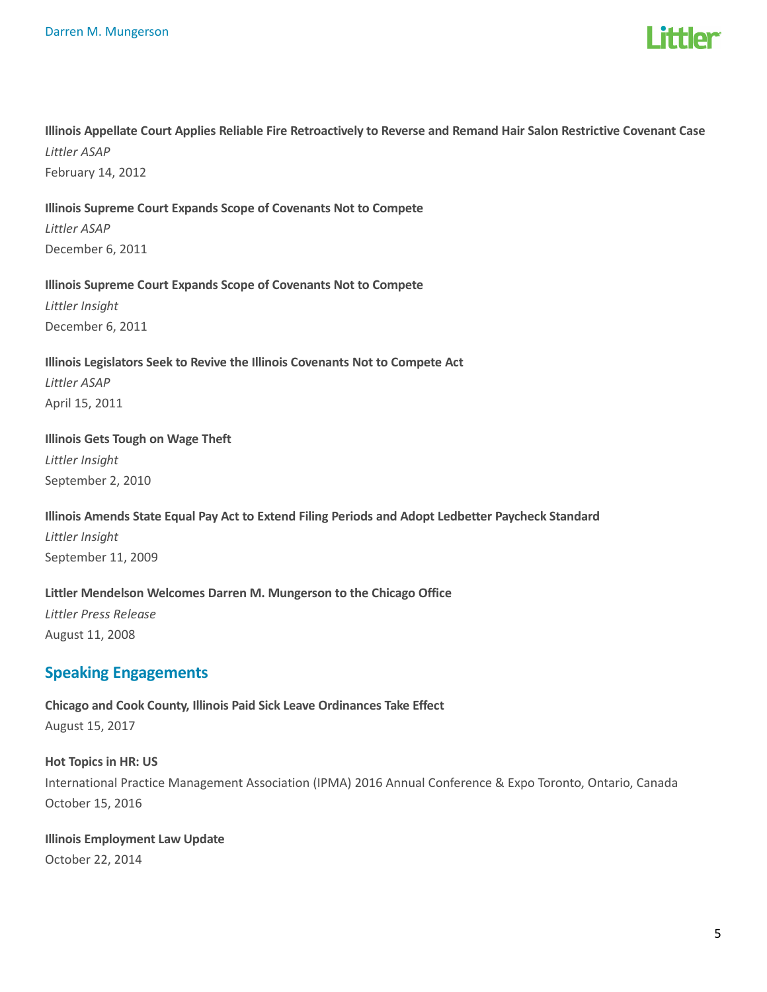

#### Illinois Appellate Court Applies Reliable Fire Retroactively to Reverse and Remand Hair Salon Restrictive Covenant Case Littler ASAP

February 14, 2012

#### Illinois Supreme Court Expands Scope of Covenants Not to Compete

Littler ASAP December 6, 2011

#### Illinois Supreme Court Expands Scope of Covenants Not to Compete

Littler Insight December 6, 2011

# Illinois Legislators Seek to Revive the Illinois Covenants Not to Compete Act Littler ASAP

April 15, 2011

#### Illinois Gets Tough on Wage Theft

Littler Insight September 2, 2010

## Illinois Amends State Equal Pay Act to Extend Filing Periods and Adopt Ledbetter Paycheck Standard Littler Insight

September 11, 2009

#### Littler Mendelson Welcomes Darren M. Mungerson to the Chicago Office

Littler Press Release August 11, 2008

## Speaking Engagements

Chicago and Cook County, Illinois Paid Sick Leave Ordinances Take Effect August 15, 2017

## Hot Topics in HR: US

International Practice Management Association (IPMA) 2016 Annual Conference & Expo Toronto, Ontario, Canada October 15, 2016

#### Illinois Employment Law Update October 22, 2014